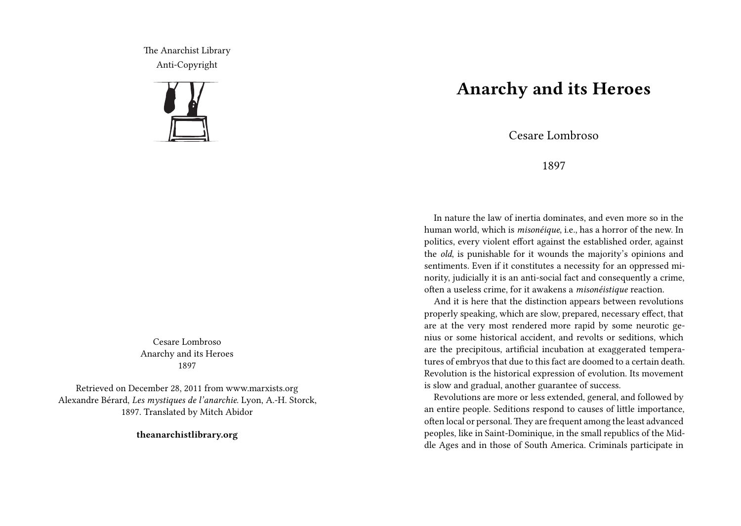The Anarchist Library Anti-Copyright



Cesare Lombroso Anarchy and its Heroes 1897

Retrieved on December 28, 2011 from www.marxists.org Alexandre Bérard, *Les mystiques de l'anarchie*. Lyon, A.-H. Storck, 1897. Translated by Mitch Abidor

**theanarchistlibrary.org**

## **Anarchy and its Heroes**

Cesare Lombroso

## 1897

In nature the law of inertia dominates, and even more so in the human world, which is *misonéique*, i.e., has a horror of the new. In politics, every violent effort against the established order, against the *old*, is punishable for it wounds the majority's opinions and sentiments. Even if it constitutes a necessity for an oppressed minority, judicially it is an anti-social fact and consequently a crime, often a useless crime, for it awakens a *misonéistique* reaction.

And it is here that the distinction appears between revolutions properly speaking, which are slow, prepared, necessary effect, that are at the very most rendered more rapid by some neurotic genius or some historical accident, and revolts or seditions, which are the precipitous, artificial incubation at exaggerated temperatures of embryos that due to this fact are doomed to a certain death. Revolution is the historical expression of evolution. Its movement is slow and gradual, another guarantee of success.

Revolutions are more or less extended, general, and followed by an entire people. Seditions respond to causes of little importance, often local or personal.They are frequent among the least advanced peoples, like in Saint-Dominique, in the small republics of the Middle Ages and in those of South America. Criminals participate in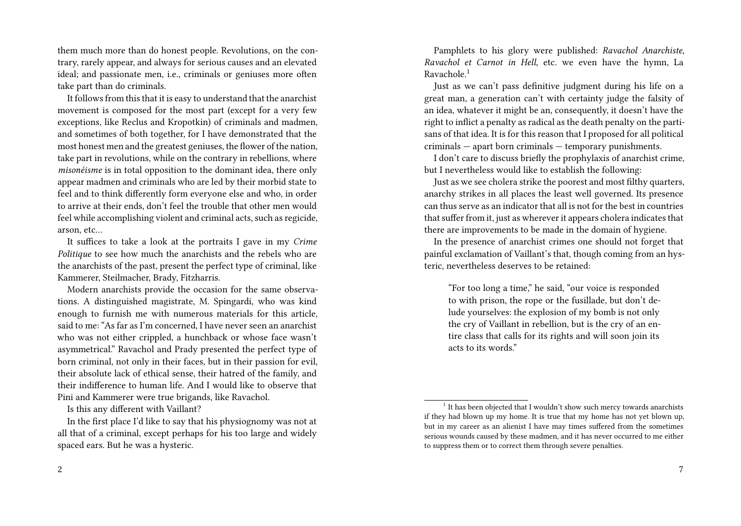them much more than do honest people. Revolutions, on the contrary, rarely appear, and always for serious causes and an elevated ideal; and passionate men, i.e., criminals or geniuses more often take part than do criminals.

It follows from this that it is easy to understand that the anarchist movement is composed for the most part (except for a very few exceptions, like Reclus and Kropotkin) of criminals and madmen, and sometimes of both together, for I have demonstrated that the most honest men and the greatest geniuses, the flower of the nation, take part in revolutions, while on the contrary in rebellions, where *misonéisme* is in total opposition to the dominant idea, there only appear madmen and criminals who are led by their morbid state to feel and to think differently form everyone else and who, in order to arrive at their ends, don't feel the trouble that other men would feel while accomplishing violent and criminal acts, such as regicide, arson, etc…

It suffices to take a look at the portraits I gave in my *Crime Politique* to see how much the anarchists and the rebels who are the anarchists of the past, present the perfect type of criminal, like Kammerer, Steilmacher, Brady, Fitzharris.

Modern anarchists provide the occasion for the same observations. A distinguished magistrate, M. Spingardi, who was kind enough to furnish me with numerous materials for this article, said to me: "As far as I'm concerned, I have never seen an anarchist who was not either crippled, a hunchback or whose face wasn't asymmetrical." Ravachol and Prady presented the perfect type of born criminal, not only in their faces, but in their passion for evil, their absolute lack of ethical sense, their hatred of the family, and their indifference to human life. And I would like to observe that Pini and Kammerer were true brigands, like Ravachol.

Is this any different with Vaillant?

In the first place I'd like to say that his physiognomy was not at all that of a criminal, except perhaps for his too large and widely spaced ears. But he was a hysteric.

Pamphlets to his glory were published: *Ravachol Anarchiste*, *Ravachol et Carnot in Hell*, etc. we even have the hymn, La Ravachole.<sup>1</sup>

Just as we can't pass definitive judgment during his life on a great man, a generation can't with certainty judge the falsity of an idea, whatever it might be an, consequently, it doesn't have the right to inflict a penalty as radical as the death penalty on the partisans of that idea. It is for this reason that I proposed for all political criminals — apart born criminals — temporary punishments.

I don't care to discuss briefly the prophylaxis of anarchist crime, but I nevertheless would like to establish the following:

Just as we see cholera strike the poorest and most filthy quarters, anarchy strikes in all places the least well governed. Its presence can thus serve as an indicator that all is not for the best in countries that suffer from it, just as wherever it appears cholera indicates that there are improvements to be made in the domain of hygiene.

In the presence of anarchist crimes one should not forget that painful exclamation of Vaillant's that, though coming from an hysteric, nevertheless deserves to be retained:

"For too long a time," he said, "our voice is responded to with prison, the rope or the fusillade, but don't delude yourselves: the explosion of my bomb is not only the cry of Vaillant in rebellion, but is the cry of an entire class that calls for its rights and will soon join its acts to its words."

<sup>&</sup>lt;sup>1</sup> It has been objected that I wouldn't show such mercy towards anarchists if they had blown up my home. It is true that my home has not yet blown up, but in my career as an alienist I have may times suffered from the sometimes serious wounds caused by these madmen, and it has never occurred to me either to suppress them or to correct them through severe penalties.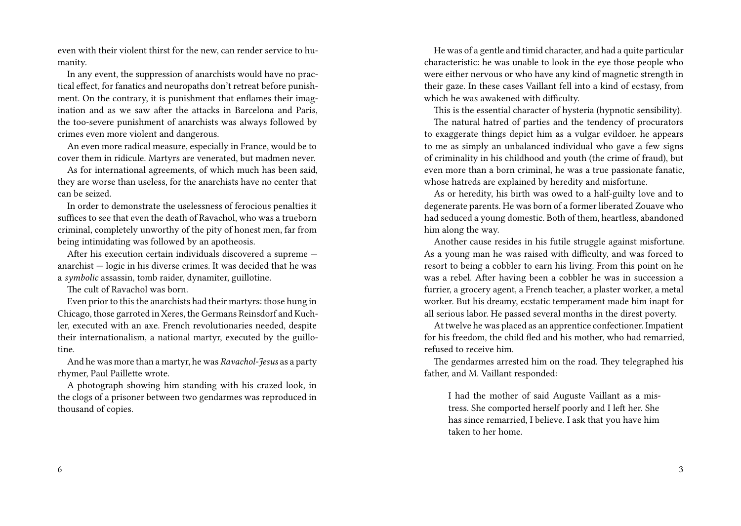even with their violent thirst for the new, can render service to humanity.

In any event, the suppression of anarchists would have no practical effect, for fanatics and neuropaths don't retreat before punishment. On the contrary, it is punishment that enflames their imagination and as we saw after the attacks in Barcelona and Paris, the too-severe punishment of anarchists was always followed by crimes even more violent and dangerous.

An even more radical measure, especially in France, would be to cover them in ridicule. Martyrs are venerated, but madmen never.

As for international agreements, of which much has been said, they are worse than useless, for the anarchists have no center that can be seized.

In order to demonstrate the uselessness of ferocious penalties it suffices to see that even the death of Ravachol, who was a trueborn criminal, completely unworthy of the pity of honest men, far from being intimidating was followed by an apotheosis.

After his execution certain individuals discovered a supreme anarchist — logic in his diverse crimes. It was decided that he was a *symbolic* assassin, tomb raider, dynamiter, guillotine.

The cult of Ravachol was born.

Even prior to this the anarchists had their martyrs: those hung in Chicago, those garroted in Xeres, the Germans Reinsdorf and Kuchler, executed with an axe. French revolutionaries needed, despite their internationalism, a national martyr, executed by the guillotine.

And he was more than a martyr, he was *Ravachol-Jesus* as a party rhymer, Paul Paillette wrote.

A photograph showing him standing with his crazed look, in the clogs of a prisoner between two gendarmes was reproduced in thousand of copies.

He was of a gentle and timid character, and had a quite particular characteristic: he was unable to look in the eye those people who were either nervous or who have any kind of magnetic strength in their gaze. In these cases Vaillant fell into a kind of ecstasy, from which he was awakened with difficulty.

This is the essential character of hysteria (hypnotic sensibility).

The natural hatred of parties and the tendency of procurators to exaggerate things depict him as a vulgar evildoer. he appears to me as simply an unbalanced individual who gave a few signs of criminality in his childhood and youth (the crime of fraud), but even more than a born criminal, he was a true passionate fanatic, whose hatreds are explained by heredity and misfortune.

As or heredity, his birth was owed to a half-guilty love and to degenerate parents. He was born of a former liberated Zouave who had seduced a young domestic. Both of them, heartless, abandoned him along the way.

Another cause resides in his futile struggle against misfortune. As a young man he was raised with difficulty, and was forced to resort to being a cobbler to earn his living. From this point on he was a rebel. After having been a cobbler he was in succession a furrier, a grocery agent, a French teacher, a plaster worker, a metal worker. But his dreamy, ecstatic temperament made him inapt for all serious labor. He passed several months in the direst poverty.

At twelve he was placed as an apprentice confectioner. Impatient for his freedom, the child fled and his mother, who had remarried, refused to receive him.

The gendarmes arrested him on the road. They telegraphed his father, and M. Vaillant responded:

I had the mother of said Auguste Vaillant as a mistress. She comported herself poorly and I left her. She has since remarried, I believe. I ask that you have him taken to her home.